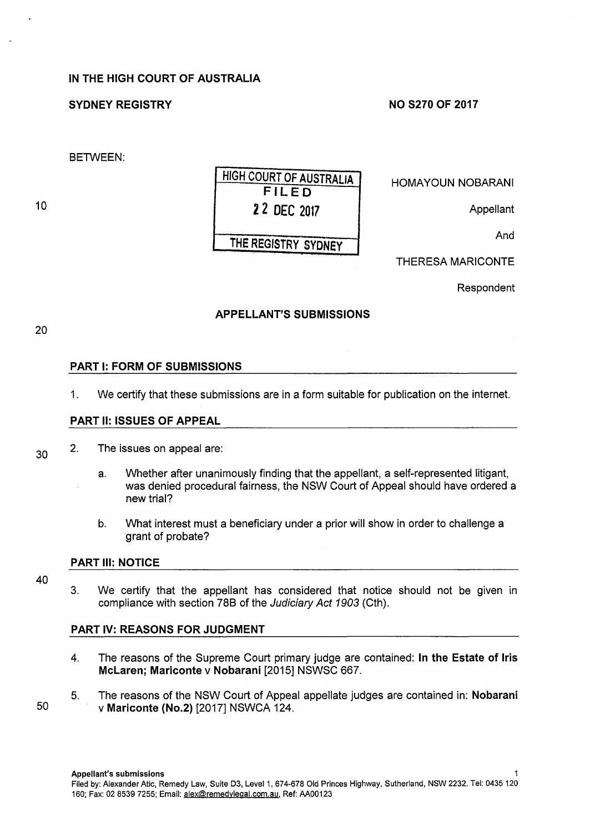# IN THE HIGH COURT OF AUSTRALIA

# SYDNEY REGISTRY

#### NO S270 OF 2017

BETWEEN:

10

# HIGH COURT OF AUSTRALIA FILED 2 2 DEC 2017 THE REGISTRY SYDNEY

HOMAYOUN NOBARANI

**Appellant** 

And

THERESA MARICONTE

Respondent

# APPELLANT'S SUBMISSIONS

20

30

# PART 1: FORM OF SUBMISSIONS

1. We certify that these submissions are in a form suitable for publication on the internet.

#### PART 11: ISSUES OF APPEAL

- 2. The issues on appeal are:
	- a. Whether after unanimously finding that the appellant, a self-represented litigant, was denied procedural fairness, the NSW Court of Appeal should have ordered a new trial?
	- b. What interest must a beneficiary under a prior will show in order to challenge a grant of probate?

#### PART Ill: NOTICE

- 40
- 3. We certify that the appellant has considered that notice should not be given in compliance with section 788 of the Judiciary Act 1903 (Cth).

#### PART IV: REASONS FOR JUDGMENT

- 4. The reasons of the Supreme Court primary judge are contained: In the Estate of Iris McLaren; Mariconte v Nobarani [2015] NSWSC 667.
- 5. The reasons of the NSW Court of Appeal appellate judges are contained in: Nobarani 50 v Mariconte (No.2) [2017] NSWCA 124.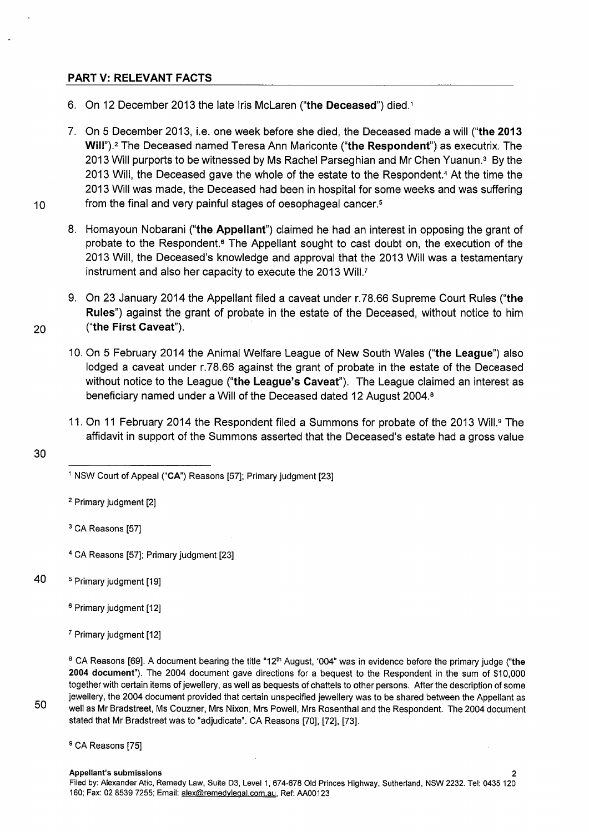# PART V: RELEVANT FACTS

- 6. On 12 December 2013 the late Iris McLaren ("the Deceased") died. <sup>1</sup>
- 7. On 5 December 2013, i.e. one week before she died, the Deceased made a will ("the 2013 Will").<sup>2</sup> The Deceased named Teresa Ann Mariconte ("the Respondent") as executrix. The 2013 Will purports to be witnessed by Ms Rachel Parseghian and Mr Chen Yuanun.<sup>3</sup> By the 2013 Will, the Deceased gave the whole of the estate to the Respondent.4 At the time the 2013 Will was made, the Deceased had been in hospital for some weeks and was suffering 10 from the final and very painful stages of oesophageal cancer.<sup>5</sup>
	- 8. Homayoun Nobarani ("the Appellant") claimed he had an interest in opposing the grant of probate to the Respondent.<sup>6</sup> The Appellant sought to cast doubt on, the execution of the 2013 Will, the Deceased's knowledge and approval that the 2013 Will was a testamentary instrument and also her capacity to execute the 2013 Will.?
- 9. On 23 January 2014 the Appellant filed a caveat under r.78.66 Supreme Court Rules ("the Rules") against the grant of probate in the estate of the Deceased, without notice to him 20 ("the First Caveat").
	- 10. On 5 February 2014 the Animal Welfare League of New South Wales ("the League") also lodged a caveat under r.78.66 against the grant of probate in the estate of the Deceased without notice to the League ("the League's Caveat"). The League claimed an interest as beneficiary named under a Will of the Deceased dated 12 August 2004. <sup>8</sup>
	- 11. On 11 February 2014 the Respondent filed a Summons for probate of the 2013 Will.<sup>9</sup> The affidavit in support of the Summons asserted that the Deceased's estate had a gross value

30

<sup>2</sup> Primary judgment [2]

<sup>3</sup> CA Reasons [57]

- <sup>4</sup>CA Reasons [57]; Primary judgment [23]
- 40 <sup>5</sup>Primary judgment [19]
	- <sup>6</sup> Primary judgment [12]

<sup>&</sup>lt;sup>1</sup> NSW Court of Appeal ("CA") Reasons [57]; Primary judgment [23]

<sup>&</sup>lt;sup>7</sup> Primary judgment [12]

<sup>&</sup>lt;sup>8</sup> CA Reasons [69]. A document bearing the title "12<sup>th</sup> August, '004" was in evidence before the primary judge ("the 2004 document"). The 2004 document gave directions for a bequest to the Respondent in the sum of \$10,000 together with certain items of jewellery, as well as bequests of chattels to other persons. After the description of some jewellery, the 2004 document provided that certain unspecified jewellery was to be shared between the Appellant as well as Mr Bradstreet, Ms Couzner, Mrs Nixon, Mrs Powell, Mrs Rosenthal and the Respondent. The 2004 document stated that Mr Bradstreet was to "adjudicate". CA Reasons [70], [72], [73].

<sup>&</sup>lt;sup>9</sup> CA Reasons [75]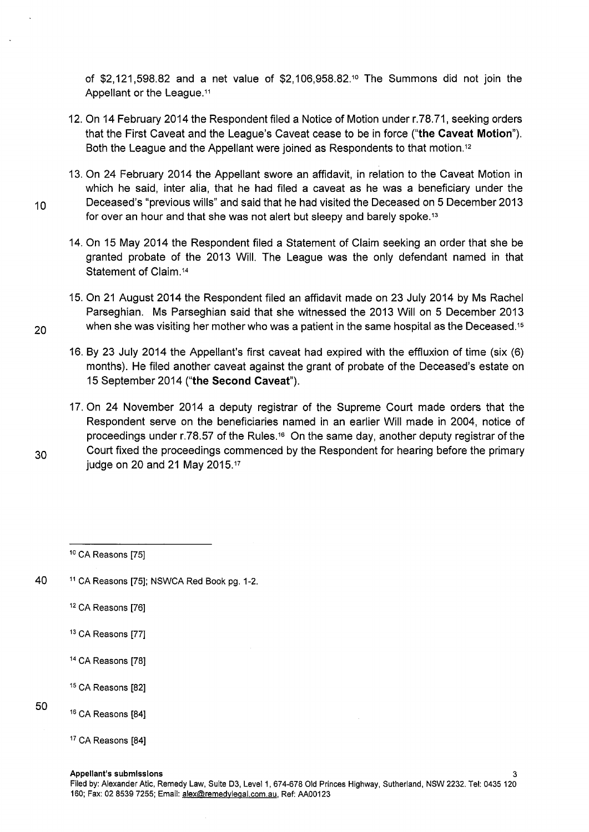of \$2,121,598.82 and a net value of \$2,106,958.82.10 The Summons did not join the Appellant or the League.11

- 12. On 14 February 2014 the Respondent filed a Notice of Motion under r.78.71, seeking orders that the First Caveat and the League's Caveat cease to be in force **("the Caveat Motion").**  Both the League and the Appellant were joined as Respondents to that motion. <sup>12</sup>
- 13. On 24 February 2014 the Appellant swore an affidavit, in relation to the Caveat Motion in which he said, inter alia, that he had filed a caveat as he was a beneficiary under the 10 Deceased's "previous wills" and said that he had visited the Deceased on 5 December 2013 for over an hour and that she was not alert but sleepy and barely spoke.<sup>13</sup>
	- 14. On 15 May 2014 the Respondent filed a Statement of Claim seeking an order that she be granted probate of the 2013 Will. The League was the only defendant named in that Statement of Claim.14
- 15. On 21 August 2014 the Respondent filed an affidavit made on 23 July 2014 by Ms Rachel Parseghian. Ms Parseghian said that she witnessed the 2013 Will on 5 December 2013 20 when she was visiting her mother who was a patient in the same hospital as the Deceased.<sup>15</sup>
	- 16. By 23 July 2014 the Appellant's first caveat had expired with the effluxion of time (six (6) months). He filed another caveat against the grant of probate of the Deceased's estate on 15 September 2014 **("the Second Caveat").**
- 17. On 24 November 2014 a deputy registrar of the Supreme Court made orders that the Respondent serve on the beneficiaries named in an earlier Will made in 2004, notice of proceedings under r.78.57 of the Rules.<sup>16</sup> On the same day, another deputy registrar of the  $30\,$  Court fixed the proceedings commenced by the Respondent for hearing before the primary judge on 20 and 21 May 2015.17
- 

50

40 <sup>11</sup> CA Reasons [75]; NSWCA Red Book pg. 1-2.

12 CA Reasons [76]

- 13 CA Reasons [77]
- 14 CA Reasons [78]
- 15 CA Reasons [82]
- <sup>16</sup> CA Reasons [84]
- 17 CA Reasons [84]

<sup>&</sup>lt;sup>10</sup> CA Reasons [75]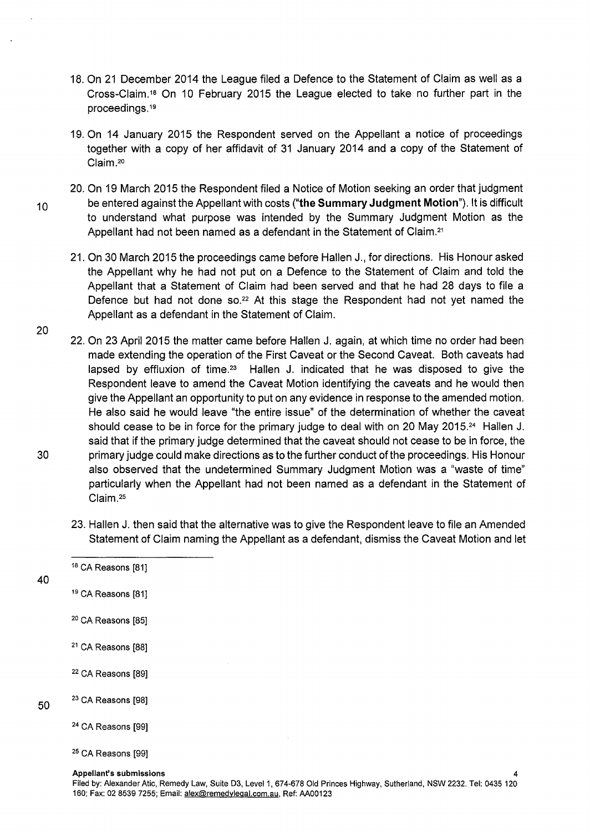- 18. On 21 December 2014 the League filed a Defence to the Statement of Claim as well as a Cross-Claim.<sup>18</sup> On 10 February 2015 the League elected to take no further part in the proceedings. <sup>19</sup>
- 19. On 14 January 2015 the Respondent served on the Appellant a notice of proceedings together with a copy of her affidavit of 31 January 2014 and a copy of the Statement of Claim.<sup>20</sup>
- 20. On 19 March 2015 the Respondent filed a Notice of Motion seeking an order that judgment <sup>1</sup>o be entered against the Appellant with costs **("the Summary Judgment Motion").** lt is difficult to understand what purpose was intended by the Summary Judgment Motion as the Appellant had not been named as a defendant in the Statement of Claim. <sup>21</sup>
	- 21. On 30 March 2015 the proceedings came before Hallen J., for directions. His Honour asked the Appellant why he had not put on a Defence to the Statement of Claim and told the Appellant that a Statement of Claim had been served and that he had 28 days to file a Defence but had not done so. $22$  At this stage the Respondent had not yet named the Appellant as a defendant in the Statement of Claim.
- 20 22. On 23 April 2015 the matter came before Hallen J. again, at which time no order had been made extending the operation of the First Caveat or the Second Caveat. Both caveats had lapsed by effluxion of time.<sup>23</sup> Hallen J. indicated that he was disposed to give the Respondent leave to amend the Caveat Motion identifying the caveats and he would then give the Appellant an opportunity to put on any evidence in response to the amended motion. He also said he would leave "the entire issue" of the determination of whether the caveat should cease to be in force for the primary judge to deal with on 20 May 2015.24 Hallen J. said that if the primary judge determined that the caveat should not cease to be in force, the 30 primary judge could make directions as to the further conduct of the proceedings. His Honour also observed that the undetermined Summary Judgment Motion was a "waste of time" particularly when the Appellant had not been named as a defendant in the Statement of Claim. <sup>25</sup>
	- 23. Hallen J. then said that the alternative was to give the Respondent leave to file an Amended Statement of Claim naming the Appellant as a defendant, dismiss the Caveat Motion and let
	- <sup>18</sup> CA Reasons [81]
- 40

50

- <sup>19</sup> CA Reasons [81]
- 20 CA Reasons [85]
- <sup>21</sup> CA Reasons [88]
- 22 CA Reasons [89]
- <sup>23</sup> CA Reasons [98]
	- 24 CA Reasons [99]
	- 25 CA Reasons [99]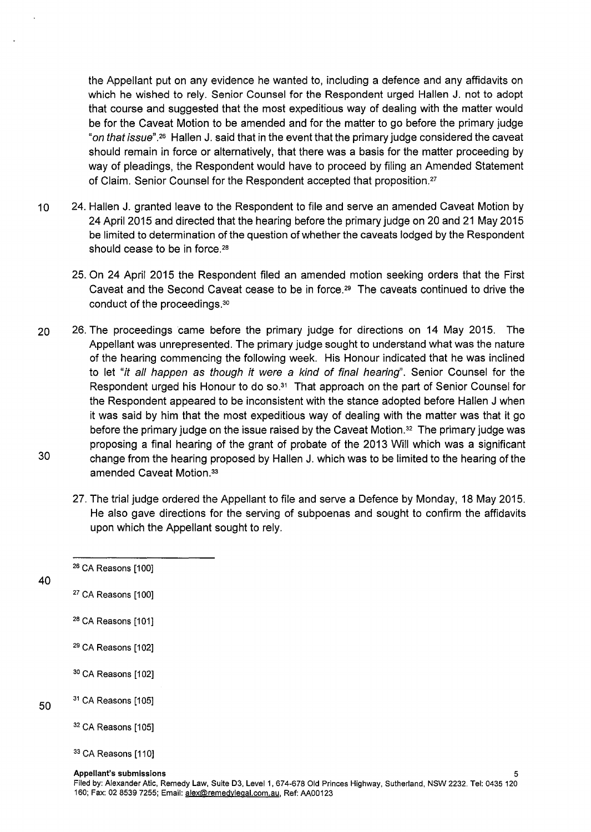the Appellant put on any evidence he wanted to, including a defence and any affidavits on which he wished to rely. Senior Counsel for the Respondent urged Hallen J. not to adopt that course and suggested that the most expeditious way of dealing with the matter would be for the Caveat Motion to be amended and for the matter to go before the primary judge "on that issue".<sup>26</sup> Hallen J. said that in the event that the primary judge considered the caveat should remain in force or alternatively, that there was a basis for the matter proceeding by way of pleadings, the Respondent would have to proceed by filing an Amended Statement of Claim. Senior Counsel for the Respondent accepted that proposition.27

- 10 24. Hallen J. granted leave to the Respondent to file and serve an amended Caveat Motion by 24 April 2015 and directed that the hearing before the primary judge on 20 and 21 May 2015 be limited to determination of the question of whether the caveats lodged by the Respondent should cease to be in force.<sup>28</sup>
	- 25. On 24 April 2015 the Respondent filed an amended motion seeking orders that the First Caveat and the Second Caveat cease to be in force.<sup>29</sup> The caveats continued to drive the conduct of the proceedings.<sup>30</sup>
- 20 26. The proceedings came before the primary judge for directions on 14 May 2015. The Appellant was unrepresented. The primary judge sought to understand what was the nature of the hearing commencing the following week. His Honour indicated that he was inclined to let "it all happen as though it were a kind of final hearing''. Senior Counsel for the Respondent urged his Honour to do so.31 That approach on the part of Senior Counsel for the Respondent appeared to be inconsistent with the stance adopted before Hallen J when it was said by him that the most expeditious way of dealing with the matter was that it go before the primary judge on the issue raised by the Caveat Motion.<sup>32</sup> The primary judge was proposing a final hearing of the grant of probate of the 2013 Will which was a significant 30 change from the hearing proposed by Hallen J. which was to be limited to the hearing of the amended Caveat Motion.<sup>33</sup>
	- 27. The trial judge ordered the Appellant to file and serve a Defence by Monday, 18 May 2015. He also gave directions for the serving of subpoenas and sought to confirm the affidavits upon which the Appellant sought to rely.
	- <sup>26</sup> CA Reasons [100]
- 40

50

- <sup>27</sup> CA Reasons [100]
- <sup>28</sup> CA Reasons [101]
- $29$  CA Reasons [102]
- <sup>30</sup> CA Reasons [102]
- $31$  CA Reasons [105]
	- $32$  CA Reasons [105]
	- <sup>33</sup> CA Reasons [110]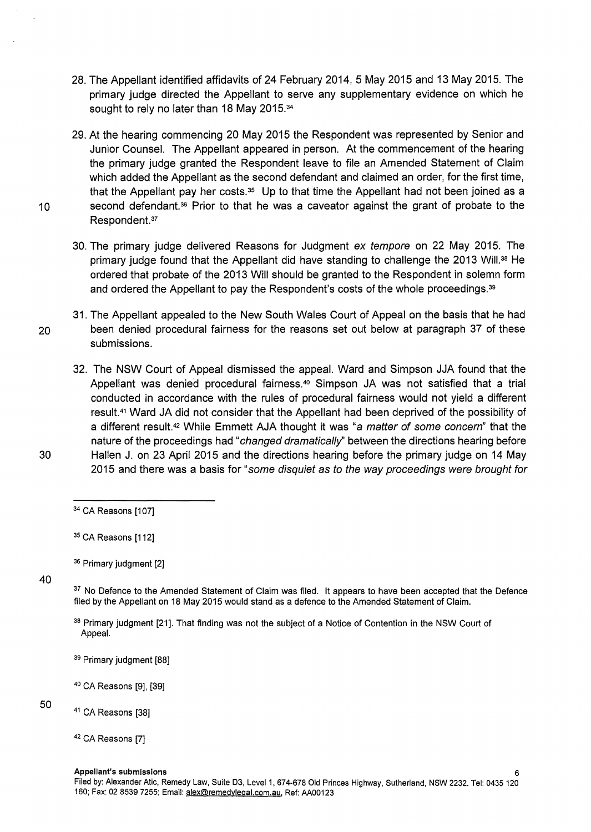- 28. The Appellant identified affidavits of 24 February 2014, 5 May 2015 and 13 May 2015. The primary judge directed the Appellant to serve any supplementary evidence on which he sought to rely no later than 18 May 2015.34
- 29. At the hearing commencing 20 May 2015 the Respondent was represented by Senior and Junior Counsel. The Appellant appeared in person. At the commencement of the hearing the primary judge granted the Respondent leave to file an Amended Statement of Claim which added the Appellant as the second defendant and claimed an order, for the first time, that the Appellant pay her costs. $35$  Up to that time the Appellant had not been joined as a 10 second defendant.<sup>36</sup> Prior to that he was a caveator against the grant of probate to the Respondent. <sup>37</sup>
	- 30. The primary judge delivered Reasons for Judgment ex tempore on 22 May 2015. The primary judge found that the Appellant did have standing to challenge the 2013 Will.<sup>38</sup> He ordered that probate of the 2013 Will should be granted to the Respondent in solemn form and ordered the Appellant to pay the Respondent's costs of the whole proceedings. <sup>39</sup>
- 31. The Appellant appealed to the New South Wales Court of Appeal on the basis that he had 20 been denied procedural fairness for the reasons set out below at paragraph 37 of these submissions.
- 32. The NSW Court of Appeal dismissed the appeal. Ward and Simpson JJA found that the Appellant was denied procedural fairness.<sup>40</sup> Simpson JA was not satisfied that a trial conducted in accordance with the rules of procedural fairness would not yield a different result. <sup>41</sup>Ward JA did not consider that the Appellant had been deprived of the possibility of a different result.<sup>42</sup> While Emmett AJA thought it was "a matter of some concern" that the nature of the proceedings had "*changed dramatically*" between the directions hearing before 30 Hallen J. on 23 April 2015 and the directions hearing before the primary judge on 14 May 2015 and there was a basis for "some disquiet as to the way proceedings were brought for
- 

40

<sup>37</sup> No Defence to the Amended Statement of Claim was filed. It appears to have been accepted that the Defence filed by the Appellant on 18 May 2015 would stand as a defence to the Amended Statement of Claim.

38 Primary judgment [21]. That finding was not the subject of a Notice of Contention in the NSW Court of Appeal.

<sup>39</sup> Primary judgment [88]

40 CA Reasons [9], [39]

50

<sup>41</sup> CA Reasons [38]

<sup>&</sup>lt;sup>34</sup> CA Reasons [107]

<sup>&</sup>lt;sup>35</sup> CA Reasons [112]

<sup>&</sup>lt;sup>36</sup> Primary judgment [2]

<sup>42</sup> CA Reasons [7]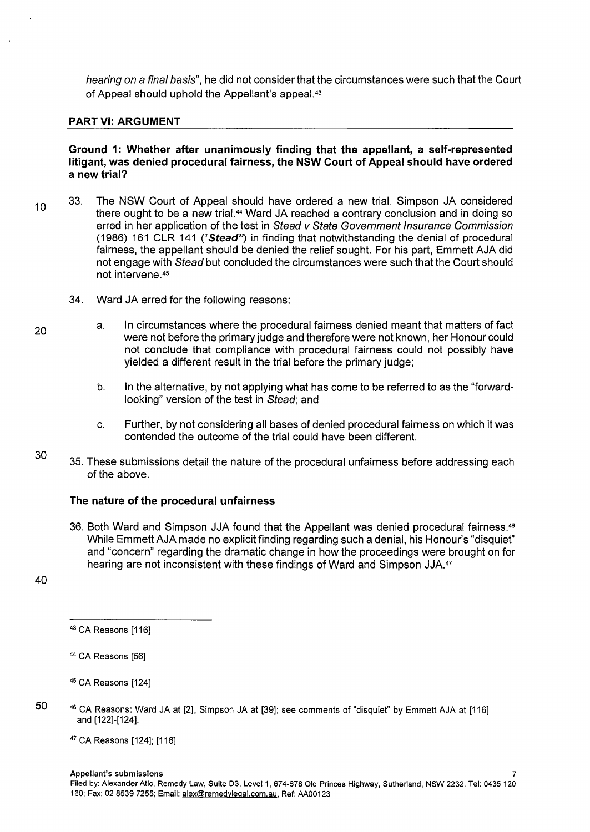hearing on a final basis", he did not consider that the circumstances were such that the Court of Appeal should uphold the Appellant's appeal.43

### **PART VI: ARGUMENT**

**Ground 1: Whether after unanimously finding that the appellant, a self-represented litigant, was denied procedural fairness, the NSW Court of Appeal should have ordered a new trial?** 

- 10 33. The NSW Court of Appeal should have ordered a new trial. Simpson JA considered there ought to be a new trial.<sup>44</sup> Ward JA reached a contrary conclusion and in doing so erred in her application of the test in Stead v State Government Insurance Commission (1986) 161 CLR 141 **("Stead')** in finding that notwithstanding the denial of procedural fairness, the appellant should be denied the relief sought. For his part, Emmett AJA did not engage with Stead but concluded the circumstances were such that the Court should not intervene.4s
	- 34. Ward JA erred for the following reasons:
		- a. In circumstances where the procedural fairness denied meant that matters of fact were not before the primary judge and therefore were not known, her Honour could not conclude that compliance with procedural fairness could not possibly have yielded a different result in the trial before the primary judge;
			- b. In the alternative, by not applying what has come to be referred to as the "forwardlooking" version of the test in Stead; and
			- c. Further, by not considering all bases of denied procedural fairness on which it was contended the outcome of the trial could have been different.
- 30 35. These submissions detail the nature of the procedural unfairness before addressing each of the above.

#### **The nature of the procedural unfairness**

- 36. Both Ward and Simpson JJA found that the Appellant was denied procedural fairness.46 While Emmett AJA made no explicit finding regarding such a denial, his Honour's "disquiet" and "concern" regarding the dramatic change in how the proceedings were brought on for hearing are not inconsistent with these findings of Ward and Simpson JJA.<sup>47</sup>
- 40

50

46 CA Reasons: Ward JA at [2], Simpson JA at [39]; see comments of "disquiet" by Emmett AJA at [116] and [122]-[124].

47 CA Reasons [124]; [116]

<sup>&</sup>lt;sup>43</sup> CA Reasons [116]

<sup>44</sup> CA Reasons [56]

<sup>45</sup> CA Reasons [124]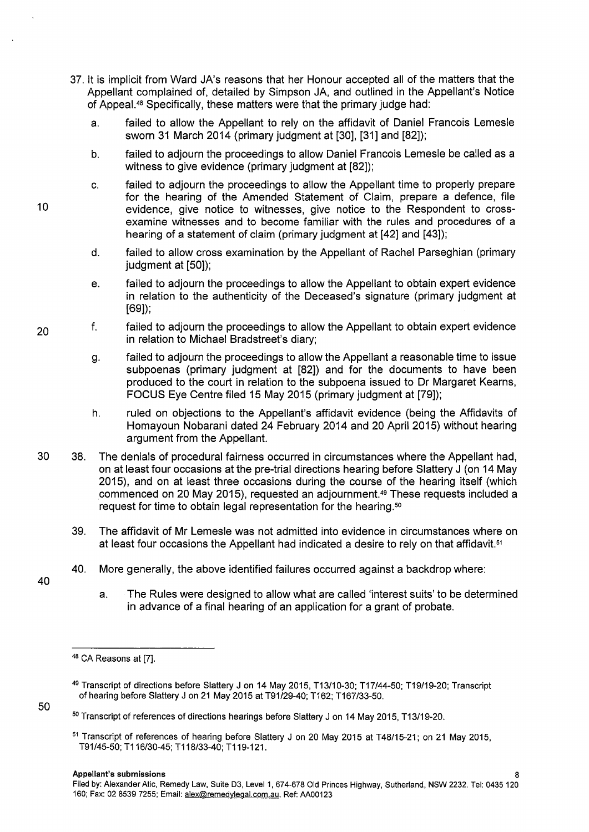- 37. lt is implicit from Ward JA's reasons that her Honour accepted all of the matters that the Appellant complained of, detailed by Simpson JA, and outlined in the Appellant's Notice of Appeal. 48 Specifically, these matters were that the primary judge had:
	- a. failed to allow the Appellant to rely on the affidavit of Daniel Francois Lemesle sworn 31 March 2014 (primary judgment at [30], [31] and [82]);
	- b. failed to adjourn the proceedings to allow Daniel Francois Lemesle be called as a witness to give evidence (primary judgment at [82]);
	- c. failed to adjourn the proceedings to allow the Appellant time to properly prepare for the hearing of the Amended Statement of Claim, prepare a defence, file evidence, give notice to witnesses, give notice to the Respondent to crossexamine witnesses and to become familiar with the rules and procedures of a hearing of a statement of claim (primary judgment at [42] and [43]);
	- d. failed to allow cross examination by the Appellant of Rachel Parseghian (primary judgment at [50]);
	- e. failed to adjourn the proceedings to allow the Appellant to obtain expert evidence in relation to the authenticity of the Deceased's signature (primary judgment at [69]);
- 20 f. failed to adjourn the proceedings to allow the Appellant to obtain expert evidence in relation to Michael Bradstreet's diary;
	- g. failed to adjourn the proceedings to allow the Appellant a reasonable time to issue subpoenas (primary judgment at [82]) and for the documents to have been produced to the court in relation to the subpoena issued to Dr Margaret Kearns, FOCUS Eye Centre filed 15 May 2015 (primary judgment at [79]);
	- h. ruled on objections to the Appellant's affidavit evidence (being the Affidavits of Homayoun Nobarani dated 24 February 2014 and 20 April 2015) without hearing argument from the Appellant.
- 30 38. The denials of procedural fairness occurred in circumstances where the Appellant had, on at least four occasions at the pre-trial directions hearing before Slattery J (on 14 May 2015), and on at least three occasions during the course of the hearing itself (which commenced on 20 May 2015), requested an adjournment.49 These requests included a request for time to obtain legal representation for the hearing. <sup>50</sup>
	- 39. The affidavit of Mr Lemesle was not admitted into evidence in circumstances where on at least four occasions the Appellant had indicated a desire to rely on that affidavit.<sup>51</sup>
	- 40. More generally, the above identified failures occurred against a backdrop where:
		- a. The Rules were designed to allow what are called 'interest suits' to be determined in advance of a final hearing of an application for a grant of probate.

10

40

<sup>&</sup>lt;sup>48</sup> CA Reasons at [7].

<sup>49</sup> Transcript of directions before Slattery J on 14 May 2015, T13/10-30; T17/44-50; T19/19-20; Transcript of hearing before Slattery J on 21 May 2015 at T91/29-40; T162; T167/33-50.

<sup>&</sup>lt;sup>50</sup> Transcript of references of directions hearings before Slattery J on 14 May 2015, T13/19-20.

<sup>&</sup>lt;sup>51</sup> Transcript of references of hearing before Slattery J on 20 May 2015 at T48/15-21; on 21 May 2015, T91/45-50; T116/30-45; T118/33-40; T119-121.

Filed by: Alexander Atic, Remedy Law, Suite 03, Level 1, 674-678 Old Princes Highway, Sutherland, NSW 2232. Tel: 0435 120 160; Fax: 02 8539 7255; Email: alex@remedylegal.com.au, Ref: AA00123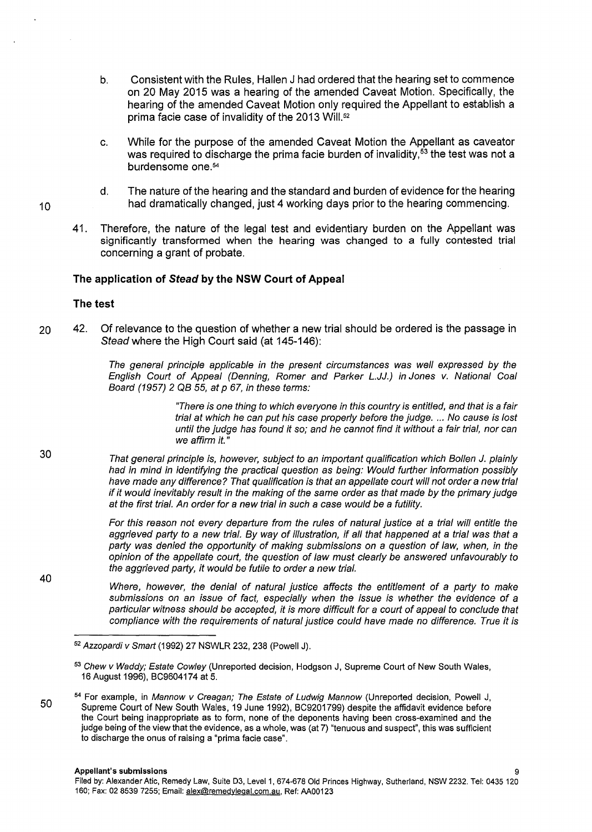- b. Consistent with the Rules, Hallen J had ordered that the hearing set to commence on 20 May 2015 was a hearing of the amended Caveat Motion. Specifically, the hearing of the amended Caveat Motion only required the Appellant to establish a prima facie case of invalidity of the 2013 Will.<sup>52</sup>
- c. While for the purpose of the amended Caveat Motion the Appellant as caveator was required to discharge the prima facie burden of invalidity,<sup>53</sup> the test was not a burdensome one.54
- d. The nature of the hearing and the standard and burden of evidence for the hearing had dramatically changed, just 4 working days prior to the hearing commencing.
- 41. Therefore, the nature of the legal test and evidentiary burden on the Appellant was significantly transformed when the hearing was changed to a fully contested trial concerning a grant of probate.

#### **The application of Stead by the NSW Court of Appeal**

#### **The test**

20 42. Of relevance to the question of whether a new trial should be ordered is the passage in Stead where the High Court said (at 145-146):

> The general principle applicable in the present circumstances was well expressed by the English Court of Appeal (Denning, Romer and Parker L.JJ.) in Jones v. National Coal Board (1957) 2 QB 55, at p 67, in these terms:

> > "There is one thing to which everyone in this country is entitled, and that is a fair trial at which he can put his case properly before the judge. ... No cause is lost until the judge has found it so; and he cannot find it without a fair trial, nor can we affirm it."

That general principle is, however, subject to an important qualification which Bollen J. plainly had in mind in identifying the practical question as being: Would further information possibly have made any difference? That qualification is that an appellate court will not order a new trial if it would inevitably result in the making of the same order as that made by the primary judge at the first trial. An order for a new trial in such a case would be a futility.

> For this reason not every departure from the rules of natural justice at a trial will entitle the aggrieved party to a new trial. By way of illustration, if all that happened at a trial was that a party was denied the opportunity of making submissions on a question of law, when, in the opinion of the appellate court, the question of law must clearly be answered unfavourably to the aggrieved party, it would be futile to order a new trial.

> Where, however, the denial of natural justice affects the entitlement of a party to make submissions on an issue of fact, especially when the issue is whether the evidence of a particular witness should be accepted, it is more difficult for a court of appeal to conclude that compliance with the requirements of natural justice could have made no difference. True it is

10

30

40

<sup>52</sup>Azzopardi v Smart (1992) 27 NSWLR 232, 238 (Powell J).

<sup>53</sup> Chew v Waddy; Estate Cowley (Unreported decision, Hodgson J, Supreme Court of New South Wales, 16 August 1996), BC9604174 at 5.

<sup>&</sup>lt;sup>54</sup> For example, in Mannow v Creagan; The Estate of Ludwig Mannow (Unreported decision, Powell J, Supreme Court of New South Wales, 19 June 1992), BC9201799) despite the affidavit evidence before the Court being inappropriate as to form, none of the deponents having been cross-examined and the judge being of the view that the evidence, as a whole, was (at 7) "tenuous and suspect", this was sufficient to discharge the onus of raising a "prima facie case".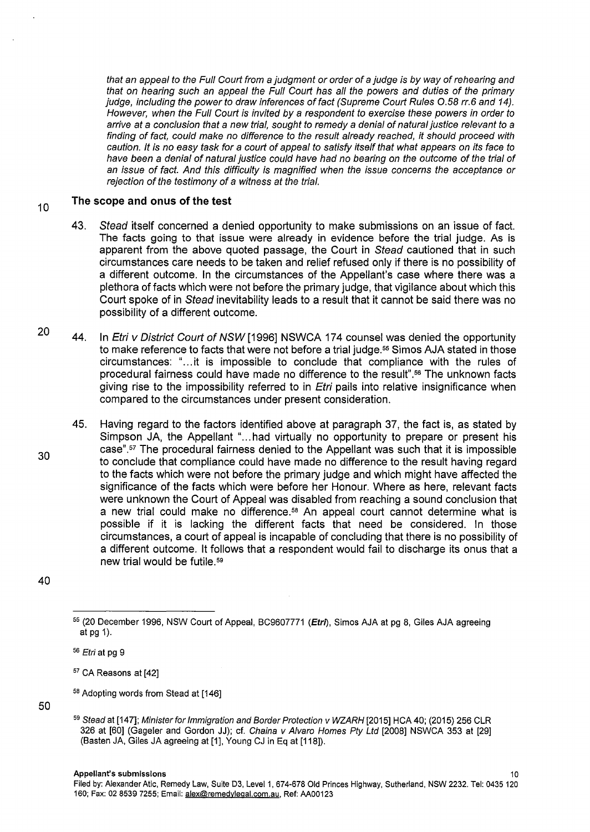that an appeal to the Full Court from a judgment or order of a judge is by way of rehearing and that on hearing such an appeal the Full Court has all the powers and duties of the primary judge, including the power to draw inferences of fact (Supreme Court Rules 0.58 rr.6 and 14). However, when the Full Court is invited by a respondent to exercise these powers in order to arrive at a conclusion that a new trial, sought to remedy a denial of natural justice relevant to a finding of fact, could make no difference to the result already reached, it should proceed with caution. It is no easy task for a court of appeal to satisfy itself that what appears on its face to have been a denial of natural justice could have had no bearing on the outcome of the trial of an issue of fact. And this difficulty is magnified when the issue concerns the acceptance or rejection of the testimony of a witness at the trial.

#### 10 **The scope and onus of the test**

- 43. Stead itself concerned a denied opportunity to make submissions on an issue of fact. The facts going to that issue were already in evidence before the trial judge. As is apparent from the above quoted passage, the Court in Stead cautioned that in such circumstances care needs to be taken and relief refused only if there is no possibility of a different outcome. In the circumstances of the Appellant's case where there was a plethora of facts which were not before the primary judge, that vigilance about which this Court spoke of in Stead inevitability leads to a result that it cannot be said there was no possibility of a different outcome.
- 20 44. In Etri v District Court of NSW [1996] NSWCA 174 counsel was denied the opportunity to make reference to facts that were not before a trial judge.<sup>55</sup> Simos AJA stated in those circumstances: " ... it is impossible to conclude that compliance with the rules of procedural fairness could have made no difference to the result". <sup>56</sup>The unknown facts giving rise to the impossibility referred to in *Etri* pails into relative insignificance when compared to the circumstances under present consideration.
	- 45. Having regard to the factors identified above at paragraph 37, the fact is, as stated by Simpson JA, the Appellant "...had virtually no opportunity to prepare or present his case".57 The procedural fairness denied to the Appellant was such that it is impossible to conclude that compliance could have made no difference to the result having regard to the facts which were not before the primary judge and which might have affected the significance of the facts which were before her Honour. Where as here, relevant facts were unknown the Court of Appeal was disabled from reaching a sound conclusion that a new trial could make no difference.<sup>58</sup> An appeal court cannot determine what is possible if it is lacking the different facts that need be considered. In those circumstances, a court of appeal is incapable of concluding that there is no possibility of a different outcome. lt follows that a respondent would fail to discharge its onus that a new trial would be futile. 5<sup>9</sup>
- 40

<sup>5</sup>8 Adopting words from Stead at [146]

<sup>55 (20</sup> December 1996, NSW Court of Appeal, BC9607771 (Etri), Simos AJA at pg 8, Giles AJA agreeing at pg 1).

<sup>56</sup> Etri at pg 9

<sup>57</sup> CA Reasons at [42]

<sup>59</sup> Stead at [147]; Minister for Immigration and Border Protection v WZARH [2015] HCA 40; (2015) 256 CLR 326 at [60] (Gageler and Gordon JJ); cf. Chaina v Alvaro Homes Pty Ltd (2008] NSWCA 353 at (29] (Basten JA, Giles JA agreeing at [1], Young CJ in Eq at [118]).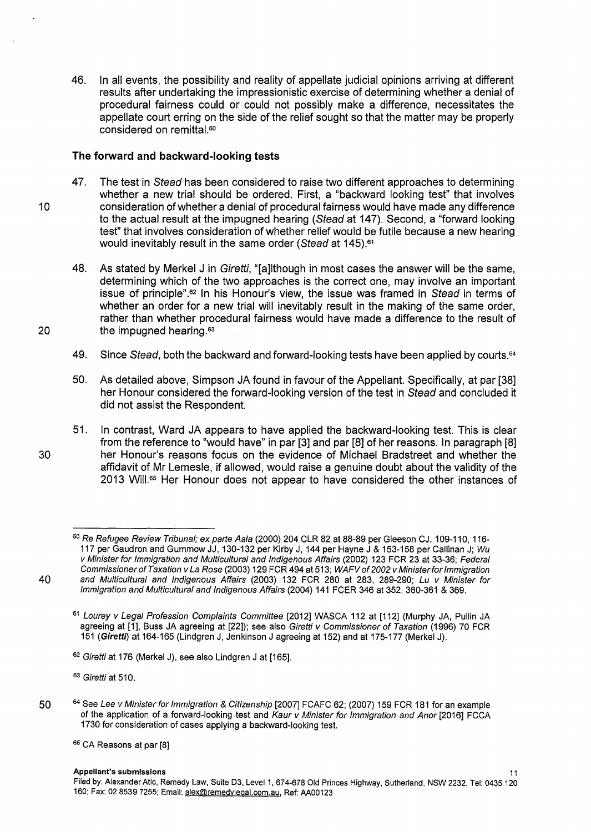46. In all events, the possibility and reality of appellate judicial opinions arriving at different results after undertaking the impressionistic exercise of determining whether a denial of procedural fairness could or could not possibly make a difference, necessitates the appellate court erring on the side of the relief sought so that the matter may be properly considered on remittal.<sup>60</sup>

# **The forward and backward-looking tests**

- 47. The test in Stead has been considered to raise two different approaches to determining whether a new trial should be ordered. First, a "backward looking test" that involves 10 consideration of whether a denial of procedural fairness would have made any difference to the actual result at the impugned hearing (Stead at 147). Second, a "forward looking test" that involves consideration of whether relief would be futile because a new hearing would inevitably result in the same order (Stead at 145).<sup>61</sup>
- 48. As stated by Merkel J in Giretti, "[a]lthough in most cases the answer will be the same, determining which of the two approaches is the correct one, may involve an important issue of principle".62 In his Honour's view, the issue was framed in Stead in terms of whether an order for a new trial will inevitably result in the making of the same order, rather than whether procedural fairness would have made a difference to the result of 20 the impugned hearing.63
	- 49. Since Stead, both the backward and forward-looking tests have been applied by courts.<sup>64</sup>
	- 50. As detailed above, Simpson JA found in favour of the Appellant. Specifically, at par [38] her Honour considered the forward-looking version of the test in Stead and concluded it did not assist the Respondent.
- 51. In contrast, Ward JA appears to have applied the backward-looking test. This is clear from the reference to "would have" in par [3] and par [8] of her reasons. In paragraph [8] 30 her Honour's reasons focus on the evidence of Michael Bradstreet and whether the affidavit of Mr Lemesle, if allowed, would raise a genuine doubt about the validity of the 2013 Will.65 Her Honour does not appear to have considered the other instances of

62 Giretti at 176 (Merkel J), see also Lindgren J at [165].

<sup>63</sup> Giretti at 510.

50 <sup>64</sup> See Lee v Minister for Immigration & Citizenship [2007] FCAFC 62; (2007) 159 FCR 181 for an example of the application of a forward-looking test and Kaur v Minister for Immigration and Anor [2016] FCCA 1730 for consideration of cases applying a backward-looking test.

<sup>60</sup> Re Refugee Review Tribunal; ex parte Aala (2000) 204 CLR 82 at 88-89 per Gleeson CJ, 109-110, 116-117 per Gaudron and Gummow JJ, 130-132 per Kirby J, 144 per Hayne J & 153-158 per Callinan J; Wu v Minister for Immigration and Multicultural and Indigenous Affairs (2002) 123 FCR 23 at 33-36; Federal Commissioner of Taxation v La Rose (2003) 129 FCR 494 at 513; WAFV of 2002 v Minister for Immigration 40 and Multicultural and Indigenous Affairs (2003) 132 FCR 280 at 283, 289-290; Lu v Minister for Immigration and Multicultural and Indigenous Affairs (2004) 141 FCER 346 at 352, 360-361 & 369.

<sup>&</sup>lt;sup>61</sup> Lourey v Legal Profession Complaints Committee [2012] WASCA 112 at [112] (Murphy JA, Pullin JA agreeing at [1], Buss JA agreeing at [22]); see also Giretti v Commissioner of Taxation (1996) 70 FCR 151 (Giretti) at 164-165 (Lindgren J, Jenkinson J agreeing at 152) and at 175-177 (Merkel J).

<sup>&</sup>lt;sup>65</sup> CA Reasons at par [8]

Appellant's submissions 11

Filed by: Alexander Atic, Remedy Law, Suite D3, Level 1, 674-678 Old Princes Highway, Sutherland, NSW 2232. Tel: 0435 120 160; Fax: 02 8539 7255; Email: alex@remedylegal.com.au, Ref: AA00123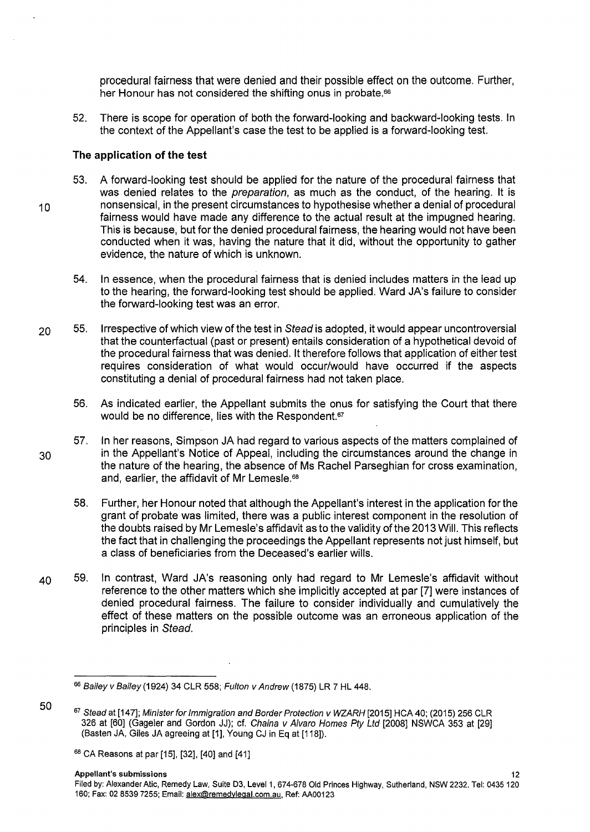procedural fairness that were denied and their possible effect on the outcome. Further, her Honour has not considered the shifting onus in probate.<sup>66</sup>

52. There is scope for operation of both the forward-looking and backward-looking tests. In the context of the Appellant's case the test to be applied is a forward-looking test.

#### **The application of the test**

- 53. A forward-looking test should be applied for the nature of the procedural fairness that was denied relates to the *preparation*, as much as the conduct, of the hearing. It is <sup>1</sup>o nonsensical, in the present circumstances to hypothesise whether a denial of procedural fairness would have made any difference to the actual result at the impugned hearing. This is because, but for the denied procedural fairness, the hearing would not have been conducted when it was, having the nature that it did, without the opportunity to gather evidence, the nature of which is unknown.
	- 54. In essence, when the procedural fairness that is denied includes matters in the lead up to the hearing, the forward-looking test should be applied. Ward JA's failure to consider the forward-looking test was an error.
- 20 55. Irrespective of which view of the test in Stead is adopted, it would appear uncontroversial that the counterfactual (past or present) entails consideration of a hypothetical devoid of the procedural fairness that was denied. lt therefore follows that application of either test requires consideration of what would occur/would have occurred if the aspects constituting a denial of procedural fairness had not taken place.
	- 56. As indicated earlier, the Appellant submits the onus for satisfying the Court that there would be no difference, lies with the Respondent.<sup>67</sup>
- 57. In her reasons, Simpson JA had regard to various aspects of the matters complained of 30 in the Appellant's Notice of Appeal, including the circumstances around the change in the nature of the hearing, the absence of Ms Rachel Parseghian for cross examination, and, earlier, the affidavit of Mr Lemesle.<sup>68</sup>
	- 58. Further, her Honour noted that although the Appellant's interest in the application for the grant of probate was limited, there was a public interest component in the resolution of the doubts raised by Mr Lemesle's affidavit as to the validity of the 2013 Will. This reflects the fact that in challenging the proceedings the Appellant represents not just himself, but a class of beneficiaries from the Deceased's earlier wills.
- 40 59. In contrast, Ward JA's reasoning only had regard to Mr Lemesle's affidavit without reference to the other matters which she implicitly accepted at par [7] were instances of denied procedural fairness. The failure to consider individually and cumulatively the effect of these matters on the possible outcome was an erroneous application of the principles in Stead.

<sup>66</sup> Bailey v Bailey (1924) 34 CLR 558; Fulton v Andrew (1875) LR 7 HL 448.

<sup>67</sup> Stead at [147]; Minister for Immigration and Border Protection v WZARH [2015] HCA 40; (2015) 256 CLR 326 at [60] (Gageler and Gordon JJ); cf. Chaina v Alvaro Homes Pty Ltd [2008] NSWCA 353 at [29] (Basten JA, Giles JA agreeing at [1], Young CJ in Eq at [118]).

<sup>&</sup>lt;sup>68</sup> CA Reasons at par [15], [32], [40] and [41]

Appellant's submissions and the contract of the contract of the contract of the contract of the contract of the contract of the contract of the contract of the contract of the contract of the contract of the contract of th

Filed by: Alexander Atic, Remedy Law, Suite D3, Level 1, 674-678 Old Princes Highway, Sutherland, NSW 2232. Tel: 0435 120 160; Fax: 02 8539 7255; Email: alex@remedyleqal.com.au, Ref: AA00123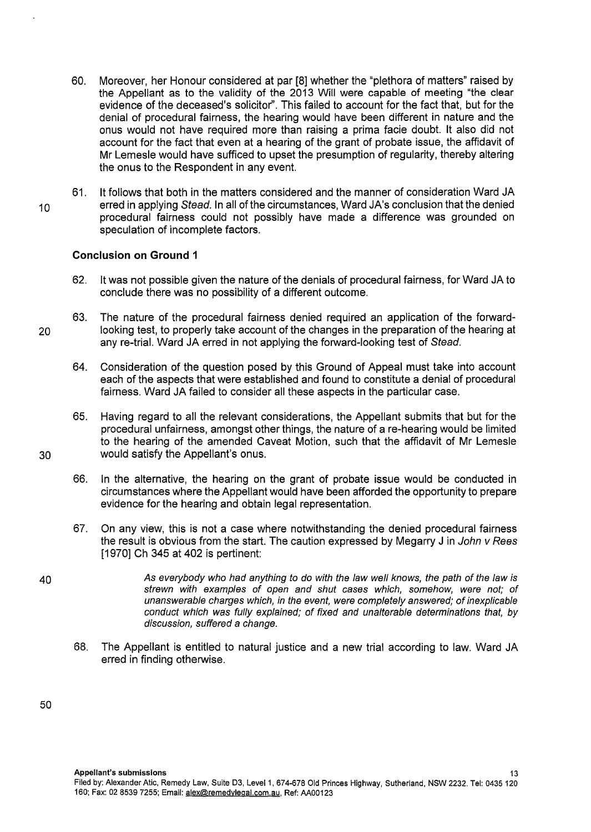- 60. Moreover, her Honour considered at par [8] whether the "plethora of matters" raised by the Appellant as to the validity of the 2013 Will were capable of meeting "the clear evidence of the deceased's solicitor''. This failed to account for the fact that, but for the denial of procedural fairness, the hearing would have been different in nature and the onus would not have required more than raising a prima facie doubt. lt also did not account for the fact that even at a hearing of the grant of probate issue, the affidavit of Mr Lemesle would have sufficed to upset the presumption of regularity, thereby altering the onus to the Respondent in any event.
- 61. lt follows that both in the matters considered and the manner of consideration Ward JA 10 erred in applying Stead. In all of the circumstances, Ward JA's conclusion that the denied procedural fairness could not possibly have made a difference was grounded on speculation of incomplete factors.

#### **Conclusion on Ground 1**

- 62. lt was not possible given the nature of the denials of procedural fairness, for Ward JA to conclude there was no possibility of a different outcome.
- 63. The nature of the procedural fairness denied required an application of the forward-20 looking test, to properly take account of the changes in the preparation of the hearing at any re-trial. Ward JA erred in not applying the forward-looking test of Stead.
	- 64. Consideration of the question posed by this Ground of Appeal must take into account each of the aspects that were established and found to constitute a denial of procedural fairness. Ward JA failed to consider all these aspects in the particular case.
- 65. Having regard to all the relevant considerations, the Appellant submits that but for the procedural unfairness, amongst other things, the nature of a re-hearing would be limited to the hearing of the amended Caveat Motion, such that the affidavit of Mr Lemesle 30 would satisfy the Appellant's onus.
	- 66. In the alternative, the hearing on the grant of probate issue would be conducted in circumstances where the Appellant would have been afforded the opportunity to prepare evidence for the hearing and obtain legal representation.
	- 67. On any view, this is not a case where notwithstanding the denied procedural fairness the result is obvious from the start. The caution expressed by Megarry J in John v Rees [1970] Ch 345 at 402 is pertinent:
- 40 As everybody who had anything to do with the law well knows, the path of the law is strewn with examples of open and shut cases which, somehow, were not; of unanswerable charges which, in the event, were completely answered; of inexplicable conduct which was fully explained; of fixed and unalterable determinations that, by discussion, suffered a change.
	- 68. The Appellant is entitled to natural justice and a new trial according to law. Ward JA erred in finding otherwise.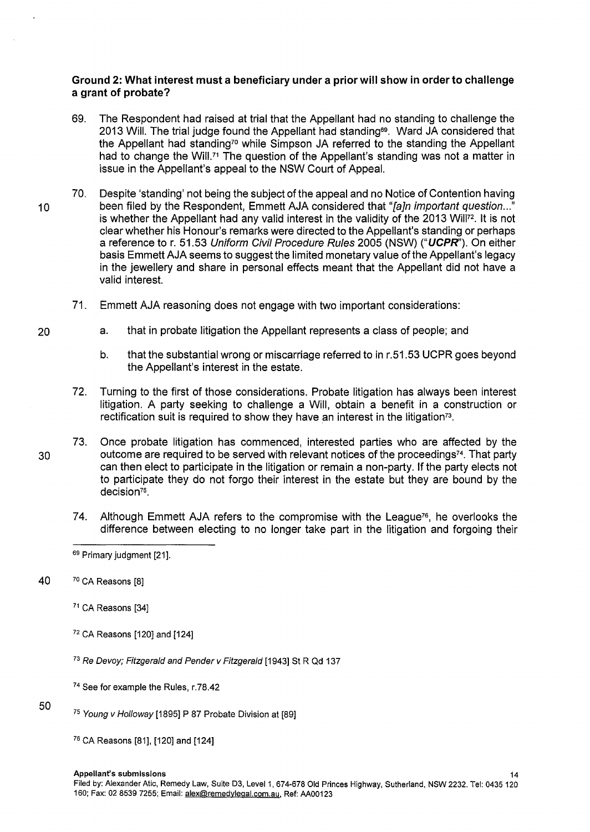# **Ground 2: What interest must a beneficiary under a prior will show in order to challenge a grant of probate?**

- 69. The Respondent had raised at trial that the Appellant had no standing to challenge the 2013 Will. The trial judge found the Appellant had standing<sup>69</sup>. Ward JA considered that the Appellant had standing<sup>70</sup> while Simpson JA referred to the standing the Appellant had to change the Will.<sup>71</sup> The question of the Appellant's standing was not a matter in issue in the Appellant's appeal to the NSW Court of Appeal.
- 70. Despite 'standing' not being the subject of the appeal and no Notice of Contention having 10 been filed by the Respondent, Emmett AJA considered that "[a]n important question..." is whether the Appellant had any valid interest in the validity of the 2013 Will<sup>72</sup>. It is not clear whether his Honour's remarks were directed to the Appellant's standing or perhaps a reference tor. 51.53 Uniform Civil Procedure Rules 2005 (NSW) **("UCPR').** On either basis Emmett AJA seems to suggest the limited monetary value of the Appellant's legacy in the jewellery and share in personal effects meant that the Appellant did not have a valid interest.
	- 71. Emmett AJA reasoning does not engage with two important considerations:
	- a. that in probate litigation the Appellant represents a class of people; and
		- b. that the substantial wrong or miscarriage referred to in r.51.53 UCPR goes beyond the Appellant's interest in the estate.
	- 72. Turning to the first of those considerations. Probate litigation has always been interest litigation. A party seeking to challenge a Will, obtain a benefit in a construction or rectification suit is required to show they have an interest in the litigation<sup>73</sup>.
- 73. Once probate litigation has commenced, interested parties who are affected by the 30 outcome are required to be served with relevant notices of the proceedings<sup>74</sup>. That party can then elect to participate in the litigation or remain a non-party. If the party elects not to participate they do not forgo their interest in the estate but they are bound by the decision<sup>75</sup>.
	- 74. Although Emmett AJA refers to the compromise with the League<sup>76</sup>, he overlooks the difference between electing to no longer take part in the litigation and forgoing their

40 7° CA Reasons [8]

<sup>71</sup> CA Reasons [34]

- <sup>72</sup>CA Reasons [120] and [124]
- <sup>73</sup> Re Devoy; Fitzgerald and Pender v Fitzgerald [1943] St R Qd 137
- <sup>74</sup> See for example the Rules, r.78.42
- 50
- <sup>75</sup> Young v Holloway [1895] P 87 Probate Division at [89]
- 76 CA Reasons [81], [120] and [124]

<sup>69</sup> Primary judgment [21].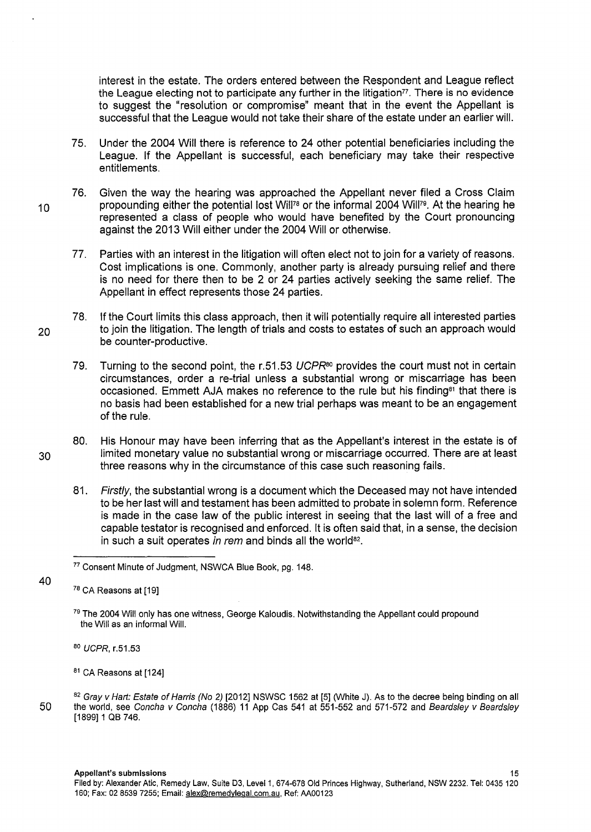interest in the estate. The orders entered between the Respondent and League reflect the League electing not to participate any further in the litigation<sup>77</sup>. There is no evidence to suggest the "resolution or compromise" meant that in the event the Appellant is successful that the League would not take their share of the estate under an earlier will.

- 75. Under the 2004 Will there is reference to 24 other potential beneficiaries including the League. If the Appellant is successful, each beneficiary may take their respective entitlements.
- 76. Given the way the hearing was approached the Appellant never filed a Cross Claim 10 propounding either the potential lost Will<sup>78</sup> or the informal 2004 Will<sup>79</sup>. At the hearing he represented a class of people who would have benefited by the Court pronouncing against the 2013 Will either under the 2004 Will or otherwise.
	- 77. Parties with an interest in the litigation will often elect not to join for a variety of reasons. Cost implications is one. Commonly, another party is already pursuing relief and there is no need for there then to be 2 or 24 parties actively seeking the same relief. The Appellant in effect represents those 24 parties.
- 78. If the Court limits this class approach, then it will potentially require all interested parties 20 to join the litigation. The length of trials and costs to estates of such an approach would be counter-productive.
	- 79. Turning to the second point, the r.51.53 UCPR*80* provides the court must not in certain circumstances, order a re-trial unless a substantial wrong or miscarriage has been occasioned. Emmett AJA makes no reference to the rule but his finding<sup>81</sup> that there is no basis had been established for a new trial perhaps was meant to be an engagement of the rule.

80. His Honour may have been inferring that as the Appellant's interest in the estate is of 30 limited monetary value no substantial wrong or miscarriage occurred. There are at least three reasons why in the circumstance of this case such reasoning fails.

81. Firstly, the substantial wrong is a document which the Deceased may not have intended to be her last will and testament has been admitted to probate in solemn form. Reference is made in the case law of the public interest in seeing that the last will of a free and capable testator is recognised and enforced. lt is often said that, in a sense, the decision in such a suit operates in rem and binds all the world $82$ .

<sup>77</sup> Consent Minute of Judgment, NSWCA Blue Book, pg. 148.

<sup>78</sup> CA Reasons at [19]

<sup>&</sup>lt;sup>79</sup> The 2004 Will only has one witness, George Kaloudis. Notwithstanding the Appellant could propound the Will as an informal Will.

<sup>80</sup> UCPR, r.51.53

 $81$  CA Reasons at [124]

<sup>82</sup> Gray v Hart: Estate of Harris (No 2) [2012] NSWSC 1562 at [5] (White J). As to the decree being binding on all 50 the world, see Concha v Concha (1886) 11 App Cas 541 at 551-552 and 571-572 and Beards/ey v Beards/ey [1899]1 QB 746.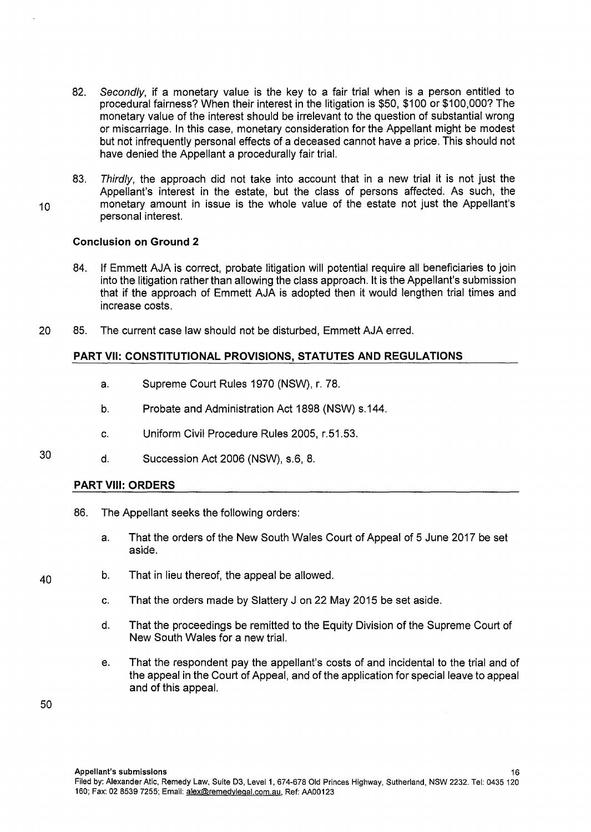- 82. Secondly, if a monetary value is the key to a fair trial when is a person entitled to procedural fairness? When their interest in the litigation is \$50, \$100 or \$100,000? The monetary value of the interest should be irrelevant to the question of substantial wrong or miscarriage. In this case, monetary consideration for the Appellant might be modest but not infrequently personal effects of a deceased cannot have a price. This should not have denied the Appellant a procedurally fair trial.
- 83. Thirdly, the approach did not take into account that in a new trial it is not just the Appellant's interest in the estate, but the class of persons affected. As such, the <sup>1</sup>o monetary amount in issue is the whole value of the estate not just the Appellant's personal interest.

# **Conclusion on Ground 2**

- 84. If Emmett AJA is correct, probate litigation will potential require all beneficiaries to join into the litigation rather than allowing the class approach. lt is the Appellant's submission that if the approach of Emmett AJA is adopted then it would lengthen trial times and increase costs.
- 20 85. The current case law should not be disturbed, Emmett AJA erred.

# **PART VII: CONSTITUTIONAL PROVISIONS, STATUTES AND REGULATIONS**

- a. Supreme Court Rules 1970 (NSW), r. 78.
- b. Probate and Administration Act 1898 (NSW) s.144.
- c. Uniform Civil Procedure Rules 2005, r.51.53.
- 30 d. Succession Act 2006 (NSW), s.6, 8.

# **PART VIII: ORDERS**

- 86. The Appellant seeks the following orders:
	- a. That the orders of the New South Wales Court of Appeal of 5 June 2017 be set aside.
- $40$  b. That in lieu thereof, the appeal be allowed.
	- c. That the orders made by Slattery J on 22 May 2015 be set aside.
	- d. That the proceedings be remitted to the Equity Division of the Supreme Court of New South Wales for a new trial.
	- e. That the respondent pay the appellant's costs of and incidental to the trial and of the appeal in the Court of Appeal, and of the application for special leave to appeal and of this appeal.